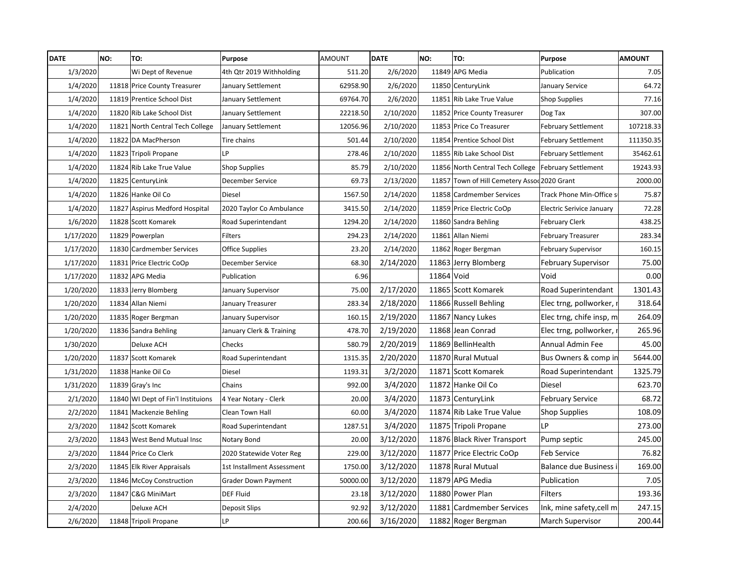| <b>DATE</b> | NO: | TO:                                | Purpose                    | <b>AMOUNT</b> | <b>DATE</b> | NO:        | TO:                                                    | <b>Purpose</b>             | <b>AMOUNT</b> |
|-------------|-----|------------------------------------|----------------------------|---------------|-------------|------------|--------------------------------------------------------|----------------------------|---------------|
| 1/3/2020    |     | Wi Dept of Revenue                 | 4th Qtr 2019 Withholding   | 511.20        | 2/6/2020    |            | 11849 APG Media                                        | Publication                | 7.05          |
| 1/4/2020    |     | 11818 Price County Treasurer       | January Settlement         | 62958.90      | 2/6/2020    |            | 11850 CenturyLink                                      | January Service            | 64.72         |
| 1/4/2020    |     | 11819 Prentice School Dist         | January Settlement         | 69764.70      | 2/6/2020    |            | 11851 Rib Lake True Value                              | <b>Shop Supplies</b>       | 77.16         |
| 1/4/2020    |     | 11820 Rib Lake School Dist         | January Settlement         | 22218.50      | 2/10/2020   |            | 11852 Price County Treasurer                           | Dog Tax                    | 307.00        |
| 1/4/2020    |     | 11821 North Central Tech College   | January Settlement         | 12056.96      | 2/10/2020   |            | 11853 Price Co Treasurer                               | <b>February Settlement</b> | 107218.33     |
| 1/4/2020    |     | 11822 DA MacPherson                | Tire chains                | 501.44        | 2/10/2020   |            | 11854 Prentice School Dist                             | <b>February Settlement</b> | 111350.35     |
| 1/4/2020    |     | 11823 Tripoli Propane              | LP                         | 278.46        | 2/10/2020   |            | 11855 Rib Lake School Dist                             | <b>February Settlement</b> | 35462.61      |
| 1/4/2020    |     | 11824 Rib Lake True Value          | <b>Shop Supplies</b>       | 85.79         | 2/10/2020   |            | 11856 North Central Tech College   February Settlement |                            | 19243.93      |
| 1/4/2020    |     | 11825 CenturyLink                  | December Service           | 69.73         | 2/13/2020   |            | 11857 Town of Hill Cemetery Assod 2020 Grant           |                            | 2000.00       |
| 1/4/2020    |     | 11826 Hanke Oil Co                 | Diesel                     | 1567.50       | 2/14/2020   |            | 11858 Cardmember Services                              | Track Phone Min-Office s   | 75.87         |
| 1/4/2020    |     | 11827 Aspirus Medford Hospital     | 2020 Taylor Co Ambulance   | 3415.50       | 2/14/2020   |            | 11859 Price Electric CoOp                              | Electric Serivice January  | 72.28         |
| 1/6/2020    |     | 11828 Scott Komarek                | Road Superintendant        | 1294.20       | 2/14/2020   |            | 11860 Sandra Behling                                   | <b>February Clerk</b>      | 438.25        |
| 1/17/2020   |     | 11829 Powerplan                    | <b>Filters</b>             | 294.23        | 2/14/2020   |            | 11861 Allan Niemi                                      | <b>February Treasurer</b>  | 283.34        |
| 1/17/2020   |     | 11830 Cardmember Services          | <b>Office Supplies</b>     | 23.20         | 2/14/2020   |            | 11862 Roger Bergman                                    | <b>February Supervisor</b> | 160.15        |
| 1/17/2020   |     | 11831 Price Electric CoOp          | December Service           | 68.30         | 2/14/2020   |            | 11863 Jerry Blomberg                                   | <b>February Supervisor</b> | 75.00         |
| 1/17/2020   |     | 11832 APG Media                    | Publication                | 6.96          |             | 11864 Void |                                                        | Void                       | 0.00          |
| 1/20/2020   |     | 11833 Jerry Blomberg               | January Supervisor         | 75.00         | 2/17/2020   |            | 11865 Scott Komarek                                    | Road Superintendant        | 1301.43       |
| 1/20/2020   |     | 11834 Allan Niemi                  | January Treasurer          | 283.34        | 2/18/2020   |            | 11866 Russell Behling                                  | Elec trng, pollworker,     | 318.64        |
| 1/20/2020   |     | 11835 Roger Bergman                | January Supervisor         | 160.15        | 2/19/2020   |            | 11867 Nancy Lukes                                      | Elec trng, chife insp, m   | 264.09        |
| 1/20/2020   |     | 11836 Sandra Behling               | January Clerk & Training   | 478.70        | 2/19/2020   |            | 11868 Jean Conrad                                      | Elec trng, pollworker,     | 265.96        |
| 1/30/2020   |     | Deluxe ACH                         | Checks                     | 580.79        | 2/20/2019   |            | 11869 BellinHealth                                     | Annual Admin Fee           | 45.00         |
| 1/20/2020   |     | 11837 Scott Komarek                | Road Superintendant        | 1315.35       | 2/20/2020   |            | 11870 Rural Mutual                                     | Bus Owners & comp in       | 5644.00       |
| 1/31/2020   |     | 11838 Hanke Oil Co                 | <b>Diesel</b>              | 1193.31       | 3/2/2020    |            | 11871 Scott Komarek                                    | Road Superintendant        | 1325.79       |
| 1/31/2020   |     | $11839$ Gray's Inc                 | Chains                     | 992.00        | 3/4/2020    |            | 11872 Hanke Oil Co                                     | Diesel                     | 623.70        |
| 2/1/2020    |     | 11840 WI Dept of Fin'l Instituions | 4 Year Notary - Clerk      | 20.00         | 3/4/2020    |            | 11873 CenturyLink                                      | <b>February Service</b>    | 68.72         |
| 2/2/2020    |     | 11841 Mackenzie Behling            | Clean Town Hall            | 60.00         | 3/4/2020    |            | 11874 Rib Lake True Value                              | <b>Shop Supplies</b>       | 108.09        |
| 2/3/2020    |     | 11842 Scott Komarek                | Road Superintendant        | 1287.51       | 3/4/2020    |            | 11875 Tripoli Propane                                  | LP                         | 273.00        |
| 2/3/2020    |     | 11843 West Bend Mutual Insc        | Notary Bond                | 20.00         | 3/12/2020   |            | 11876 Black River Transport                            | Pump septic                | 245.00        |
| 2/3/2020    |     | 11844 Price Co Clerk               | 2020 Statewide Voter Reg   | 229.00        | 3/12/2020   |            | 11877 Price Electric CoOp                              | Feb Service                | 76.82         |
| 2/3/2020    |     | 11845 Elk River Appraisals         | 1st Installment Assessment | 1750.00       | 3/12/2020   |            | 11878 Rural Mutual                                     | Balance due Business       | 169.00        |
| 2/3/2020    |     | 11846 McCoy Construction           | Grader Down Payment        | 50000.00      | 3/12/2020   |            | 11879 APG Media                                        | Publication                | 7.05          |
| 2/3/2020    |     | 11847 C&G MiniMart                 | <b>DEF Fluid</b>           | 23.18         | 3/12/2020   |            | 11880 Power Plan                                       | Filters                    | 193.36        |
| 2/4/2020    |     | Deluxe ACH                         | <b>Deposit Slips</b>       | 92.92         | 3/12/2020   |            | 11881 Cardmember Services                              | Ink, mine safety, cell m   | 247.15        |
| 2/6/2020    |     | 11848 Tripoli Propane              | LP                         | 200.66        | 3/16/2020   |            | 11882 Roger Bergman                                    | <b>March Supervisor</b>    | 200.44        |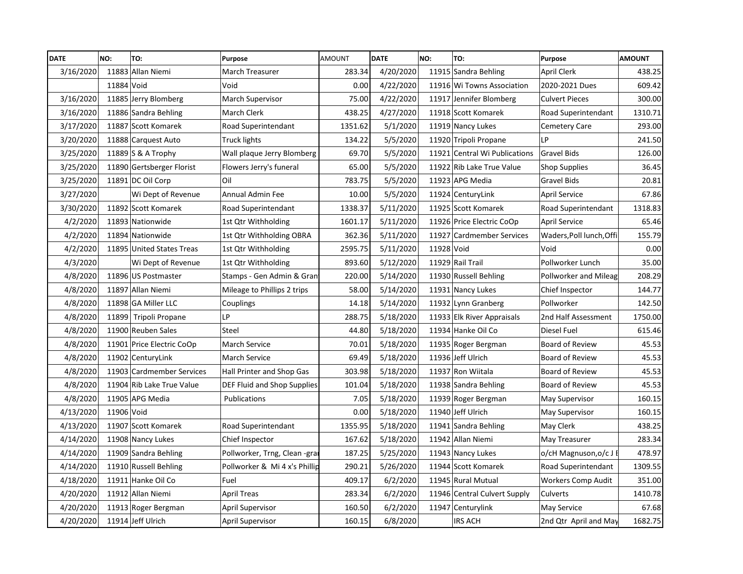| <b>DATE</b> | NO:        | TO:                       | Purpose                       | AMOUNT  | <b>DATE</b> | NO:        | TO:                           | Purpose                   | <b>AMOUNT</b> |
|-------------|------------|---------------------------|-------------------------------|---------|-------------|------------|-------------------------------|---------------------------|---------------|
| 3/16/2020   |            | 11883 Allan Niemi         | <b>March Treasurer</b>        | 283.34  | 4/20/2020   |            | 11915 Sandra Behling          | April Clerk               | 438.25        |
|             | 11884 Void |                           | Void                          | 0.00    | 4/22/2020   |            | 11916 Wi Towns Association    | 2020-2021 Dues            | 609.42        |
| 3/16/2020   |            | 11885 Jerry Blomberg      | <b>March Supervisor</b>       | 75.00   | 4/22/2020   |            | 11917 Jennifer Blomberg       | <b>Culvert Pieces</b>     | 300.00        |
| 3/16/2020   |            | 11886 Sandra Behling      | March Clerk                   | 438.25  | 4/27/2020   |            | 11918 Scott Komarek           | Road Superintendant       | 1310.71       |
| 3/17/2020   |            | 11887 Scott Komarek       | Road Superintendant           | 1351.62 | 5/1/2020    |            | 11919 Nancy Lukes             | <b>Cemetery Care</b>      | 293.00        |
| 3/20/2020   |            | 11888 Carquest Auto       | <b>Truck lights</b>           | 134.22  | 5/5/2020    |            | 11920 Tripoli Propane         | <b>LP</b>                 | 241.50        |
| 3/25/2020   |            | 11889 S & A Trophy        | Wall plaque Jerry Blomberg    | 69.70   | 5/5/2020    |            | 11921 Central Wi Publications | <b>Gravel Bids</b>        | 126.00        |
| 3/25/2020   |            | 11890 Gertsberger Florist | Flowers Jerry's funeral       | 65.00   | 5/5/2020    |            | 11922 Rib Lake True Value     | Shop Supplies             | 36.45         |
| 3/25/2020   |            | 11891 DC Oil Corp         | Oil                           | 783.75  | 5/5/2020    |            | 11923 APG Media               | <b>Gravel Bids</b>        | 20.81         |
| 3/27/2020   |            | Wi Dept of Revenue        | Annual Admin Fee              | 10.00   | 5/5/2020    |            | 11924 CenturyLink             | <b>April Service</b>      | 67.86         |
| 3/30/2020   |            | 11892 Scott Komarek       | Road Superintendant           | 1338.37 | 5/11/2020   |            | 11925 Scott Komarek           | Road Superintendant       | 1318.83       |
| 4/2/2020    |            | 11893 Nationwide          | 1st Qtr Withholding           | 1601.17 | 5/11/2020   |            | 11926 Price Electric CoOp     | April Service             | 65.46         |
| 4/2/2020    |            | 11894 Nationwide          | 1st Qtr Withholding OBRA      | 362.36  | 5/11/2020   |            | 11927 Cardmember Services     | Waders,Poll lunch,Offi    | 155.79        |
| 4/2/2020    |            | 11895 United States Treas | 1st Qtr Withholding           | 2595.75 | 5/11/2020   | 11928 Void |                               | Void                      | 0.00          |
| 4/3/2020    |            | Wi Dept of Revenue        | 1st Qtr Withholding           | 893.60  | 5/12/2020   |            | 11929 Rail Trail              | Pollworker Lunch          | 35.00         |
| 4/8/2020    |            | 11896 US Postmaster       | Stamps - Gen Admin & Gran     | 220.00  | 5/14/2020   |            | 11930 Russell Behling         | Pollworker and Mileag     | 208.29        |
| 4/8/2020    |            | 11897 Allan Niemi         | Mileage to Phillips 2 trips   | 58.00   | 5/14/2020   |            | 11931 Nancy Lukes             | Chief Inspector           | 144.77        |
| 4/8/2020    |            | 11898 GA Miller LLC       | Couplings                     | 14.18   | 5/14/2020   |            | 11932 Lynn Granberg           | Pollworker                | 142.50        |
| 4/8/2020    |            | 11899 Tripoli Propane     | LP                            | 288.75  | 5/18/2020   |            | 11933 Elk River Appraisals    | 2nd Half Assessment       | 1750.00       |
| 4/8/2020    |            | 11900 Reuben Sales        | Steel                         | 44.80   | 5/18/2020   |            | 11934 Hanke Oil Co            | Diesel Fuel               | 615.46        |
| 4/8/2020    |            | 11901 Price Electric CoOp | <b>March Service</b>          | 70.01   | 5/18/2020   |            | 11935 Roger Bergman           | Board of Review           | 45.53         |
| 4/8/2020    |            | 11902 CenturyLink         | March Service                 | 69.49   | 5/18/2020   |            | 11936 Jeff Ulrich             | Board of Review           | 45.53         |
| 4/8/2020    |            | 11903 Cardmember Services | Hall Printer and Shop Gas     | 303.98  | 5/18/2020   |            | 11937 Ron Wiitala             | Board of Review           | 45.53         |
| 4/8/2020    |            | 11904 Rib Lake True Value | DEF Fluid and Shop Supplies   | 101.04  | 5/18/2020   |            | 11938 Sandra Behling          | Board of Review           | 45.53         |
| 4/8/2020    |            | 11905 APG Media           | Publications                  | 7.05    | 5/18/2020   |            | 11939 Roger Bergman           | May Supervisor            | 160.15        |
| 4/13/2020   | 11906 Void |                           |                               | 0.00    | 5/18/2020   |            | 11940 Jeff Ulrich             | May Supervisor            | 160.15        |
| 4/13/2020   |            | 11907 Scott Komarek       | Road Superintendant           | 1355.95 | 5/18/2020   |            | 11941 Sandra Behling          | May Clerk                 | 438.25        |
| 4/14/2020   |            | 11908 Nancy Lukes         | Chief Inspector               | 167.62  | 5/18/2020   |            | 11942 Allan Niemi             | May Treasurer             | 283.34        |
| 4/14/2020   |            | 11909 Sandra Behling      | Pollworker, Trng, Clean -gra  | 187.25  | 5/25/2020   |            | 11943 Nancy Lukes             | o/cH Magnuson, o/c J      | 478.97        |
| 4/14/2020   |            | 11910 Russell Behling     | Pollworker & Mi 4 x's Phillip | 290.21  | 5/26/2020   |            | 11944 Scott Komarek           | Road Superintendant       | 1309.55       |
| 4/18/2020   |            | 11911 Hanke Oil Co        | Fuel                          | 409.17  | 6/2/2020    |            | 11945 Rural Mutual            | <b>Workers Comp Audit</b> | 351.00        |
| 4/20/2020   |            | 11912 Allan Niemi         | <b>April Treas</b>            | 283.34  | 6/2/2020    |            | 11946 Central Culvert Supply  | Culverts                  | 1410.78       |
| 4/20/2020   |            | 11913 Roger Bergman       | April Supervisor              | 160.50  | 6/2/2020    |            | 11947 Centurylink             | May Service               | 67.68         |
| 4/20/2020   |            | 11914 Jeff Ulrich         | April Supervisor              | 160.15  | 6/8/2020    |            | <b>IRS ACH</b>                | 2nd Qtr April and May     | 1682.75       |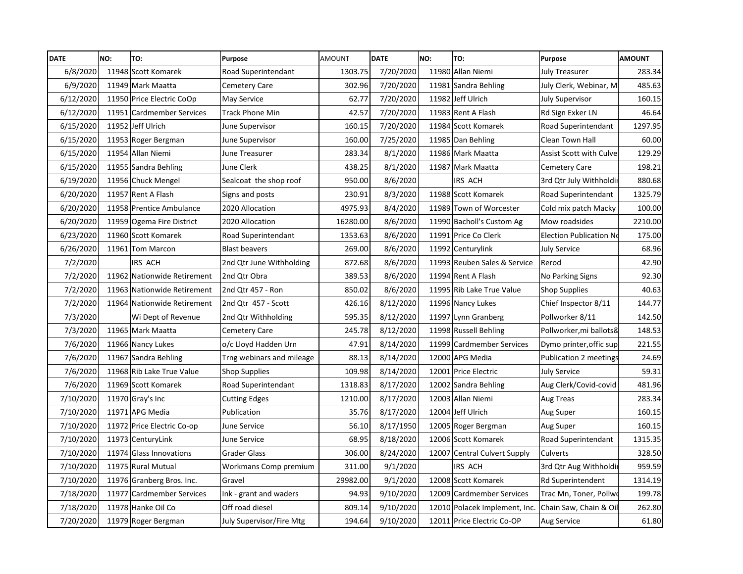| <b>DATE</b> | NO: | TO:                         | Purpose                   | <b>AMOUNT</b> | <b>DATE</b> | NO: | TO:                           | Purpose                 | <b>AMOUNT</b> |
|-------------|-----|-----------------------------|---------------------------|---------------|-------------|-----|-------------------------------|-------------------------|---------------|
| 6/8/2020    |     | 11948 Scott Komarek         | Road Superintendant       | 1303.75       | 7/20/2020   |     | 11980 Allan Niemi             | <b>July Treasurer</b>   | 283.34        |
| 6/9/2020    |     | 11949 Mark Maatta           | Cemetery Care             | 302.96        | 7/20/2020   |     | 11981 Sandra Behling          | July Clerk, Webinar, M  | 485.63        |
| 6/12/2020   |     | 11950 Price Electric CoOp   | May Service               | 62.77         | 7/20/2020   |     | 11982 Jeff Ulrich             | <b>July Supervisor</b>  | 160.15        |
| 6/12/2020   |     | 11951 Cardmember Services   | <b>Track Phone Min</b>    | 42.57         | 7/20/2020   |     | 11983 Rent A Flash            | Rd Sign Exker LN        | 46.64         |
| 6/15/2020   |     | 11952 Jeff Ulrich           | June Supervisor           | 160.15        | 7/20/2020   |     | 11984 Scott Komarek           | Road Superintendant     | 1297.95       |
| 6/15/2020   |     | 11953 Roger Bergman         | June Supervisor           | 160.00        | 7/25/2020   |     | 11985 Dan Behling             | Clean Town Hall         | 60.00         |
| 6/15/2020   |     | 11954 Allan Niemi           | June Treasurer            | 283.34        | 8/1/2020    |     | 11986 Mark Maatta             | Assist Scott with Culve | 129.29        |
| 6/15/2020   |     | 11955 Sandra Behling        | June Clerk                | 438.25        | 8/1/2020    |     | 11987 Mark Maatta             | Cemetery Care           | 198.21        |
| 6/19/2020   |     | 11956 Chuck Mengel          | Sealcoat the shop roof    | 950.00        | 8/6/2020    |     | IRS ACH                       | 3rd Qtr July Withholdir | 880.68        |
| 6/20/2020   |     | 11957 Rent A Flash          | Signs and posts           | 230.91        | 8/3/2020    |     | 11988 Scott Komarek           | Road Superintendant     | 1325.79       |
| 6/20/2020   |     | 11958 Prentice Ambulance    | 2020 Allocation           | 4975.93       | 8/4/2020    |     | 11989 Town of Worcester       | Cold mix patch Macky    | 100.00        |
| 6/20/2020   |     | 11959 Ogema Fire District   | 2020 Allocation           | 16280.00      | 8/6/2020    |     | 11990 Bacholl's Custom Ag     | Mow roadsides           | 2210.00       |
| 6/23/2020   |     | 11960 Scott Komarek         | Road Superintendant       | 1353.63       | 8/6/2020    |     | 11991 Price Co Clerk          | Election Publication No | 175.00        |
| 6/26/2020   |     | 11961 Tom Marcon            | <b>Blast beavers</b>      | 269.00        | 8/6/2020    |     | 11992 Centurylink             | <b>July Service</b>     | 68.96         |
| 7/2/2020    |     | IRS ACH                     | 2nd Qtr June Withholding  | 872.68        | 8/6/2020    |     | 11993 Reuben Sales & Service  | Rerod                   | 42.90         |
| 7/2/2020    |     | 11962 Nationwide Retirement | 2nd Qtr Obra              | 389.53        | 8/6/2020    |     | 11994 Rent A Flash            | No Parking Signs        | 92.30         |
| 7/2/2020    |     | 11963 Nationwide Retirement | 2nd Qtr 457 - Ron         | 850.02        | 8/6/2020    |     | 11995 Rib Lake True Value     | <b>Shop Supplies</b>    | 40.63         |
| 7/2/2020    |     | 11964 Nationwide Retirement | 2nd Qtr 457 - Scott       | 426.16        | 8/12/2020   |     | 11996 Nancy Lukes             | Chief Inspector 8/11    | 144.77        |
| 7/3/2020    |     | Wi Dept of Revenue          | 2nd Qtr Withholding       | 595.35        | 8/12/2020   |     | 11997 Lynn Granberg           | Pollworker 8/11         | 142.50        |
| 7/3/2020    |     | 11965 Mark Maatta           | <b>Cemetery Care</b>      | 245.78        | 8/12/2020   |     | 11998 Russell Behling         | Pollworker, mi ballots& | 148.53        |
| 7/6/2020    |     | 11966 Nancy Lukes           | o/c Lloyd Hadden Urn      | 47.91         | 8/14/2020   |     | 11999 Cardmember Services     | Dymo printer, offic sup | 221.55        |
| 7/6/2020    |     | 11967 Sandra Behling        | Trng webinars and mileage | 88.13         | 8/14/2020   |     | 12000 APG Media               | Publication 2 meetings  | 24.69         |
| 7/6/2020    |     | 11968 Rib Lake True Value   | <b>Shop Supplies</b>      | 109.98        | 8/14/2020   |     | 12001 Price Electric          | <b>July Service</b>     | 59.31         |
| 7/6/2020    |     | 11969 Scott Komarek         | Road Superintendant       | 1318.83       | 8/17/2020   |     | 12002 Sandra Behling          | Aug Clerk/Covid-covid   | 481.96        |
| 7/10/2020   |     | $11970$ Gray's Inc          | <b>Cutting Edges</b>      | 1210.00       | 8/17/2020   |     | 12003 Allan Niemi             | Aug Treas               | 283.34        |
| 7/10/2020   |     | 11971 APG Media             | Publication               | 35.76         | 8/17/2020   |     | 12004 Jeff Ulrich             | Aug Super               | 160.15        |
| 7/10/2020   |     | 11972 Price Electric Co-op  | June Service              | 56.10         | 8/17/1950   |     | 12005 Roger Bergman           | Aug Super               | 160.15        |
| 7/10/2020   |     | 11973 CenturyLink           | June Service              | 68.95         | 8/18/2020   |     | 12006 Scott Komarek           | Road Superintendant     | 1315.35       |
| 7/10/2020   |     | 11974 Glass Innovations     | <b>Grader Glass</b>       | 306.00        | 8/24/2020   |     | 12007 Central Culvert Supply  | Culverts                | 328.50        |
| 7/10/2020   |     | 11975 Rural Mutual          | Workmans Comp premium     | 311.00        | 9/1/2020    |     | IRS ACH                       | 3rd Qtr Aug Withholdi   | 959.59        |
| 7/10/2020   |     | 11976 Granberg Bros. Inc.   | Gravel                    | 29982.00      | 9/1/2020    |     | 12008 Scott Komarek           | Rd Superintendent       | 1314.19       |
| 7/18/2020   |     | 11977 Cardmember Services   | Ink - grant and waders    | 94.93         | 9/10/2020   |     | 12009 Cardmember Services     | Trac Mn, Toner, Pollw   | 199.78        |
| 7/18/2020   |     | 11978 Hanke Oil Co          | Off road diesel           | 809.14        | 9/10/2020   |     | 12010 Polacek Implement, Inc. | Chain Saw, Chain & Oil  | 262.80        |
| 7/20/2020   |     | 11979 Roger Bergman         | July Supervisor/Fire Mtg  | 194.64        | 9/10/2020   |     | 12011 Price Electric Co-OP    | Aug Service             | 61.80         |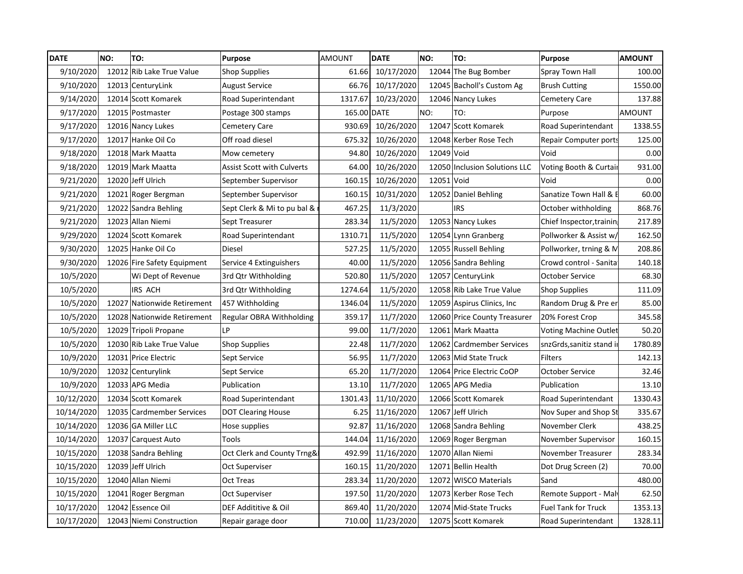| <b>DATE</b> | NO: | TO:                         | <b>Purpose</b>                    | <b>AMOUNT</b> | <b>DATE</b>       | NO:        | TO:                           | Purpose                      | <b>AMOUNT</b> |
|-------------|-----|-----------------------------|-----------------------------------|---------------|-------------------|------------|-------------------------------|------------------------------|---------------|
| 9/10/2020   |     | 12012 Rib Lake True Value   | <b>Shop Supplies</b>              | 61.66         | 10/17/2020        |            | 12044 The Bug Bomber          | Spray Town Hall              | 100.00        |
| 9/10/2020   |     | 12013 CenturyLink           | <b>August Service</b>             | 66.76         | 10/17/2020        |            | 12045 Bacholl's Custom Ag     | <b>Brush Cutting</b>         | 1550.00       |
| 9/14/2020   |     | 12014 Scott Komarek         | Road Superintendant               | 1317.67       | 10/23/2020        |            | 12046 Nancy Lukes             | Cemetery Care                | 137.88        |
| 9/17/2020   |     | 12015 Postmaster            | Postage 300 stamps                | 165.00 DATE   |                   | NO:        | TO:                           | Purpose                      | <b>AMOUNT</b> |
| 9/17/2020   |     | 12016 Nancy Lukes           | Cemetery Care                     | 930.69        | 10/26/2020        |            | 12047 Scott Komarek           | Road Superintendant          | 1338.55       |
| 9/17/2020   |     | 12017 Hanke Oil Co          | Off road diesel                   | 675.32        | 10/26/2020        |            | 12048 Kerber Rose Tech        | <b>Repair Computer ports</b> | 125.00        |
| 9/18/2020   |     | 12018 Mark Maatta           | Mow cemetery                      | 94.80         | 10/26/2020        | 12049 Void |                               | Void                         | 0.00          |
| 9/18/2020   |     | 12019 Mark Maatta           | <b>Assist Scott with Culverts</b> | 64.00         | 10/26/2020        |            | 12050 Inclusion Solutions LLC | Voting Booth & Curtai        | 931.00        |
| 9/21/2020   |     | 12020 Jeff Ulrich           | September Supervisor              | 160.15        | 10/26/2020        | 12051 Void |                               | Void                         | 0.00          |
| 9/21/2020   |     | 12021 Roger Bergman         | September Supervisor              | 160.15        | 10/31/2020        |            | 12052 Daniel Behling          | Sanatize Town Hall & E       | 60.00         |
| 9/21/2020   |     | 12022 Sandra Behling        | Sept Clerk & Mi to pu bal &       | 467.25        | 11/3/2020         |            | <b>IRS</b>                    | October withholding          | 868.76        |
| 9/21/2020   |     | 12023 Allan Niemi           | Sept Treasurer                    | 283.34        | 11/5/2020         |            | 12053 Nancy Lukes             | Chief Inspector, training    | 217.89        |
| 9/29/2020   |     | 12024 Scott Komarek         | Road Superintendant               | 1310.71       | 11/5/2020         |            | 12054 Lynn Granberg           | Pollworker & Assist w/       | 162.50        |
| 9/30/2020   |     | 12025 Hanke Oil Co          | Diesel                            | 527.25        | 11/5/2020         |            | 12055 Russell Behling         | Pollworker, trning & M       | 208.86        |
| 9/30/2020   |     | 12026 Fire Safety Equipment | Service 4 Extinguishers           | 40.00         | 11/5/2020         |            | 12056 Sandra Behling          | Crowd control - Sanita       | 140.18        |
| 10/5/2020   |     | Wi Dept of Revenue          | 3rd Qtr Withholding               | 520.80        | 11/5/2020         |            | 12057 CenturyLink             | October Service              | 68.30         |
| 10/5/2020   |     | IRS ACH                     | 3rd Qtr Withholding               | 1274.64       | 11/5/2020         |            | 12058 Rib Lake True Value     | <b>Shop Supplies</b>         | 111.09        |
| 10/5/2020   |     | 12027 Nationwide Retirement | 457 Withholding                   | 1346.04       | 11/5/2020         |            | 12059 Aspirus Clinics, Inc.   | Random Drug & Pre er         | 85.00         |
| 10/5/2020   |     | 12028 Nationwide Retirement | Regular OBRA Withholding          | 359.17        | 11/7/2020         |            | 12060 Price County Treasurer  | 20% Forest Crop              | 345.58        |
| 10/5/2020   |     | 12029 Tripoli Propane       | LP                                | 99.00         | 11/7/2020         |            | 12061 Mark Maatta             | <b>Voting Machine Outlet</b> | 50.20         |
| 10/5/2020   |     | 12030 Rib Lake True Value   | <b>Shop Supplies</b>              | 22.48         | 11/7/2020         |            | 12062 Cardmember Services     | snzGrds, sanitiz stand i     | 1780.89       |
| 10/9/2020   |     | 12031 Price Electric        | Sept Service                      | 56.95         | 11/7/2020         |            | 12063 Mid State Truck         | <b>Filters</b>               | 142.13        |
| 10/9/2020   |     | 12032 Centurylink           | Sept Service                      | 65.20         | 11/7/2020         |            | 12064 Price Electric CoOP     | October Service              | 32.46         |
| 10/9/2020   |     | 12033 APG Media             | Publication                       | 13.10         | 11/7/2020         |            | 12065 APG Media               | Publication                  | 13.10         |
| 10/12/2020  |     | 12034 Scott Komarek         | Road Superintendant               | 1301.43       | 11/10/2020        |            | 12066 Scott Komarek           | Road Superintendant          | 1330.43       |
| 10/14/2020  |     | 12035 Cardmember Services   | <b>DOT Clearing House</b>         | 6.25          | 11/16/2020        |            | 12067 Jeff Ulrich             | Nov Super and Shop St        | 335.67        |
| 10/14/2020  |     | 12036 GA Miller LLC         | Hose supplies                     | 92.87         | 11/16/2020        |            | 12068 Sandra Behling          | November Clerk               | 438.25        |
| 10/14/2020  |     | 12037 Carquest Auto         | Tools                             | 144.04        | 11/16/2020        |            | 12069 Roger Bergman           | November Supervisor          | 160.15        |
| 10/15/2020  |     | 12038 Sandra Behling        | Oct Clerk and County Trng&        | 492.99        | 11/16/2020        |            | 12070 Allan Niemi             | November Treasurer           | 283.34        |
| 10/15/2020  |     | 12039 Jeff Ulrich           | Oct Superviser                    | 160.15        | 11/20/2020        |            | 12071 Bellin Health           | Dot Drug Screen (2)          | 70.00         |
| 10/15/2020  |     | 12040 Allan Niemi           | Oct Treas                         | 283.34        | 11/20/2020        |            | 12072 WISCO Materials         | Sand                         | 480.00        |
| 10/15/2020  |     | 12041 Roger Bergman         | Oct Superviser                    | 197.50        | 11/20/2020        |            | 12073 Kerber Rose Tech        | Remote Support - Malv        | 62.50         |
| 10/17/2020  |     | 12042 Essence Oil           | DEF Addititive & Oil              | 869.40        | 11/20/2020        |            | 12074 Mid-State Trucks        | <b>Fuel Tank for Truck</b>   | 1353.13       |
| 10/17/2020  |     | 12043 Niemi Construction    | Repair garage door                |               | 710.00 11/23/2020 |            | 12075 Scott Komarek           | Road Superintendant          | 1328.11       |